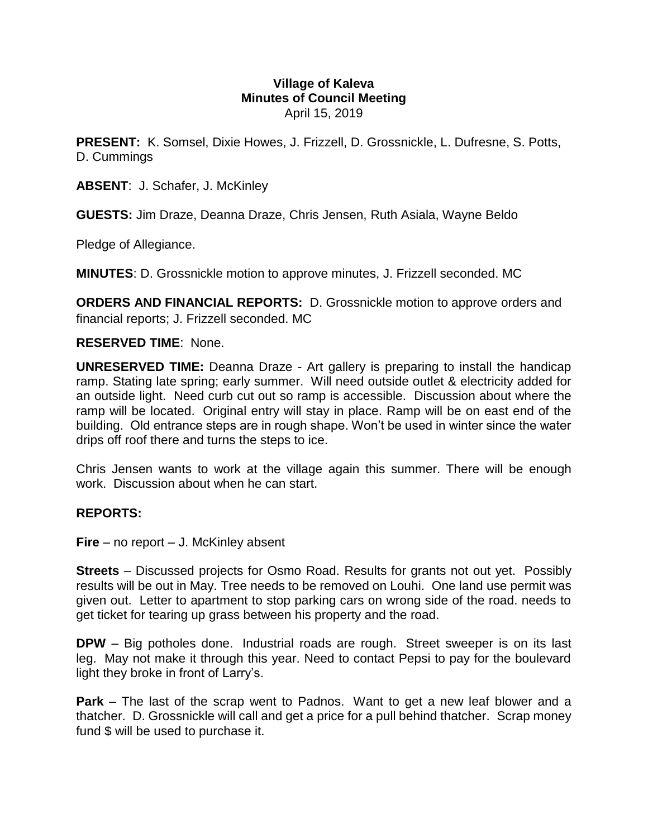### **Village of Kaleva Minutes of Council Meeting** April 15, 2019

**PRESENT:** K. Somsel, Dixie Howes, J. Frizzell, D. Grossnickle, L. Dufresne, S. Potts, D. Cummings

**ABSENT**: J. Schafer, J. McKinley

**GUESTS:** Jim Draze, Deanna Draze, Chris Jensen, Ruth Asiala, Wayne Beldo

Pledge of Allegiance.

**MINUTES**: D. Grossnickle motion to approve minutes, J. Frizzell seconded. MC

**ORDERS AND FINANCIAL REPORTS:** D. Grossnickle motion to approve orders and financial reports; J. Frizzell seconded. MC

### **RESERVED TIME**: None.

**UNRESERVED TIME:** Deanna Draze - Art gallery is preparing to install the handicap ramp. Stating late spring; early summer. Will need outside outlet & electricity added for an outside light. Need curb cut out so ramp is accessible. Discussion about where the ramp will be located. Original entry will stay in place. Ramp will be on east end of the building. Old entrance steps are in rough shape. Won't be used in winter since the water drips off roof there and turns the steps to ice.

Chris Jensen wants to work at the village again this summer. There will be enough work. Discussion about when he can start.

# **REPORTS:**

**Fire** – no report – J. McKinley absent

**Streets** – Discussed projects for Osmo Road. Results for grants not out yet. Possibly results will be out in May. Tree needs to be removed on Louhi. One land use permit was given out. Letter to apartment to stop parking cars on wrong side of the road. needs to get ticket for tearing up grass between his property and the road.

**DPW** – Big potholes done. Industrial roads are rough. Street sweeper is on its last leg. May not make it through this year. Need to contact Pepsi to pay for the boulevard light they broke in front of Larry's.

**Park** – The last of the scrap went to Padnos. Want to get a new leaf blower and a thatcher. D. Grossnickle will call and get a price for a pull behind thatcher. Scrap money fund \$ will be used to purchase it.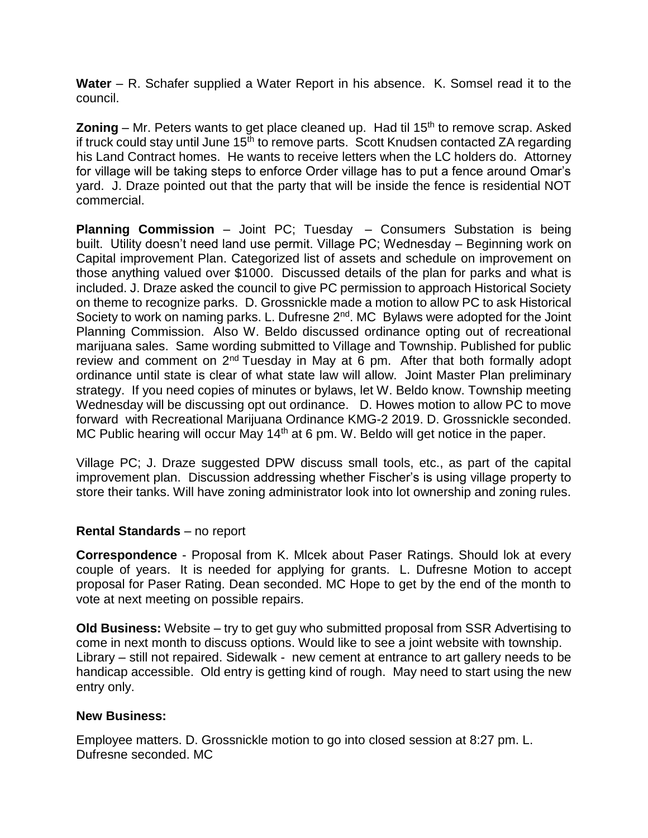**Water** – R. Schafer supplied a Water Report in his absence. K. Somsel read it to the council.

**Zoning** – Mr. Peters wants to get place cleaned up. Had til 15<sup>th</sup> to remove scrap. Asked if truck could stay until June  $15<sup>th</sup>$  to remove parts. Scott Knudsen contacted ZA regarding his Land Contract homes. He wants to receive letters when the LC holders do. Attorney for village will be taking steps to enforce Order village has to put a fence around Omar's yard. J. Draze pointed out that the party that will be inside the fence is residential NOT commercial.

**Planning Commission** – Joint PC; Tuesday – Consumers Substation is being built. Utility doesn't need land use permit. Village PC; Wednesday – Beginning work on Capital improvement Plan. Categorized list of assets and schedule on improvement on those anything valued over \$1000. Discussed details of the plan for parks and what is included. J. Draze asked the council to give PC permission to approach Historical Society on theme to recognize parks. D. Grossnickle made a motion to allow PC to ask Historical Society to work on naming parks. L. Dufresne 2<sup>nd</sup>. MC Bylaws were adopted for the Joint Planning Commission. Also W. Beldo discussed ordinance opting out of recreational marijuana sales. Same wording submitted to Village and Township. Published for public review and comment on 2<sup>nd</sup> Tuesday in May at 6 pm. After that both formally adopt ordinance until state is clear of what state law will allow. Joint Master Plan preliminary strategy. If you need copies of minutes or bylaws, let W. Beldo know. Township meeting Wednesday will be discussing opt out ordinance. D. Howes motion to allow PC to move forward with Recreational Marijuana Ordinance KMG-2 2019. D. Grossnickle seconded. MC Public hearing will occur May 14<sup>th</sup> at 6 pm. W. Beldo will get notice in the paper.

Village PC; J. Draze suggested DPW discuss small tools, etc., as part of the capital improvement plan. Discussion addressing whether Fischer's is using village property to store their tanks. Will have zoning administrator look into lot ownership and zoning rules.

# **Rental Standards** – no report

**Correspondence** - Proposal from K. Mlcek about Paser Ratings. Should lok at every couple of years. It is needed for applying for grants. L. Dufresne Motion to accept proposal for Paser Rating. Dean seconded. MC Hope to get by the end of the month to vote at next meeting on possible repairs.

**Old Business:** Website – try to get guy who submitted proposal from SSR Advertising to come in next month to discuss options. Would like to see a joint website with township. Library – still not repaired. Sidewalk - new cement at entrance to art gallery needs to be handicap accessible. Old entry is getting kind of rough. May need to start using the new entry only.

# **New Business:**

Employee matters. D. Grossnickle motion to go into closed session at 8:27 pm. L. Dufresne seconded. MC